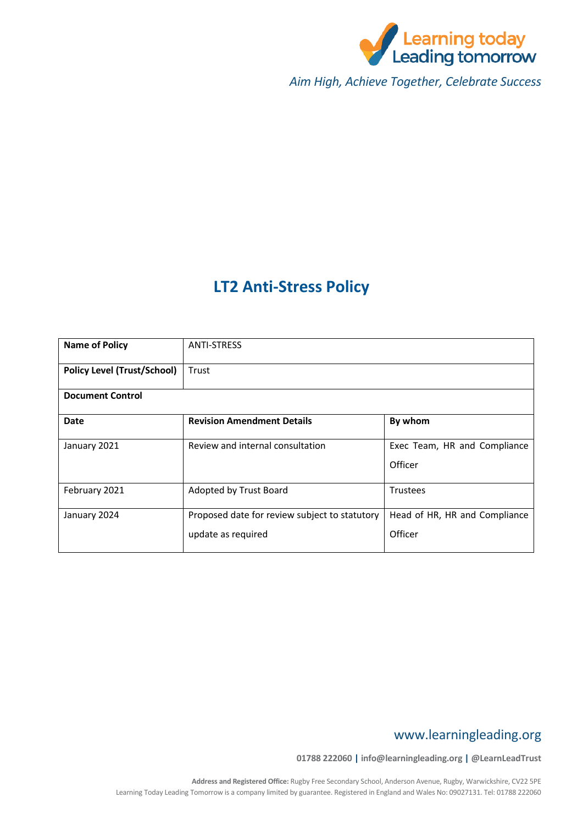

*Aim High, Achieve Together, Celebrate Success*

# **LT2 Anti-Stress Policy**

| <b>Name of Policy</b>              | <b>ANTI-STRESS</b>                                                  |                                          |  |
|------------------------------------|---------------------------------------------------------------------|------------------------------------------|--|
| <b>Policy Level (Trust/School)</b> | Trust                                                               |                                          |  |
| <b>Document Control</b>            |                                                                     |                                          |  |
| Date                               | <b>Revision Amendment Details</b>                                   | By whom                                  |  |
| January 2021                       | Review and internal consultation                                    | Exec Team, HR and Compliance<br>Officer  |  |
| February 2021                      | Adopted by Trust Board                                              | <b>Trustees</b>                          |  |
| January 2024                       | Proposed date for review subject to statutory<br>update as required | Head of HR, HR and Compliance<br>Officer |  |

# www.learningleading.org

**01788 222060 | info@learningleading.org | @LearnLeadTrust**

**Address and Registered Office:** Rugby Free Secondary School, Anderson Avenue, Rugby, Warwickshire, CV22 5PE Learning Today Leading Tomorrow is a company limited by guarantee. Registered in England and Wales No: 09027131. Tel: 01788 222060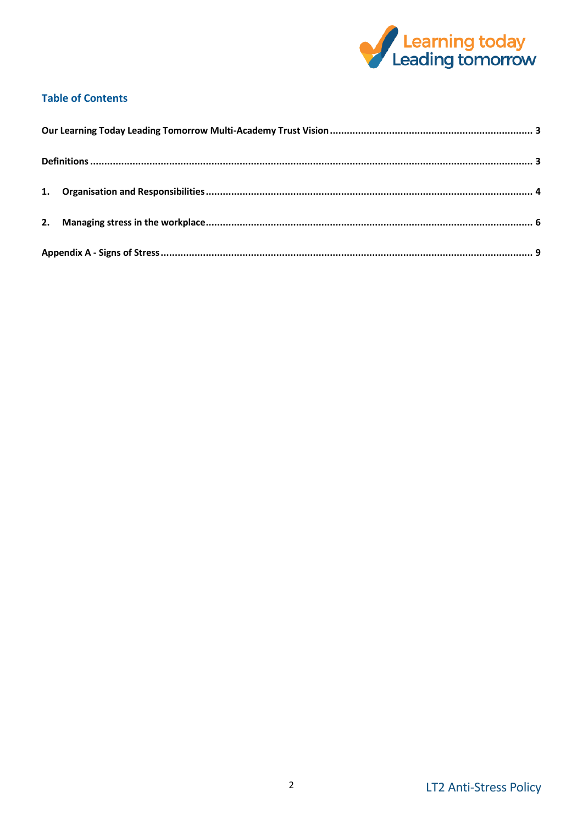

# **Table of Contents**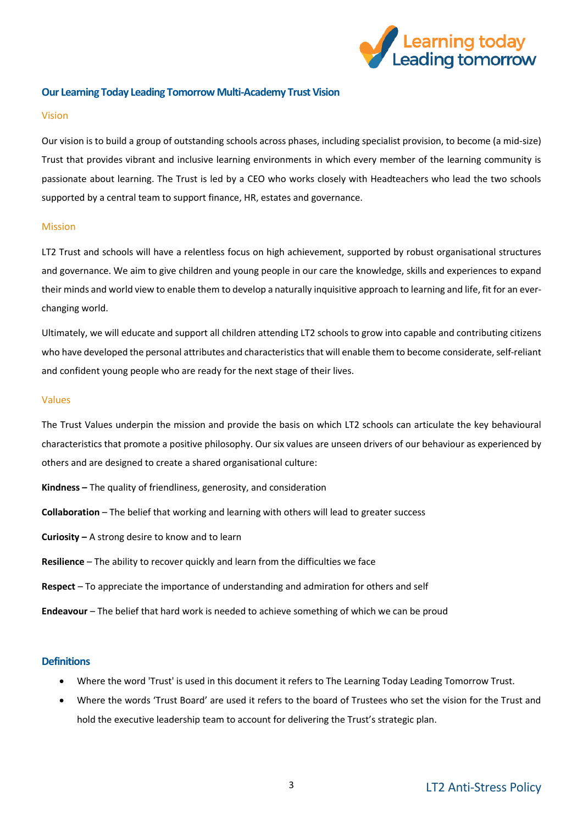

#### <span id="page-2-0"></span>**Our Learning Today Leading Tomorrow Multi-Academy Trust Vision**

#### Vision

Our vision is to build a group of outstanding schools across phases, including specialist provision, to become (a mid-size) Trust that provides vibrant and inclusive learning environments in which every member of the learning community is passionate about learning. The Trust is led by a CEO who works closely with Headteachers who lead the two schools supported by a central team to support finance, HR, estates and governance.

#### Mission

LT2 Trust and schools will have a relentless focus on high achievement, supported by robust organisational structures and governance. We aim to give children and young people in our care the knowledge, skills and experiences to expand their minds and world view to enable them to develop a naturally inquisitive approach to learning and life, fit for an everchanging world.

Ultimately, we will educate and support all children attending LT2 schools to grow into capable and contributing citizens who have developed the personal attributes and characteristics that will enable them to become considerate, self-reliant and confident young people who are ready for the next stage of their lives.

#### Values

The Trust Values underpin the mission and provide the basis on which LT2 schools can articulate the key behavioural characteristics that promote a positive philosophy. Our six values are unseen drivers of our behaviour as experienced by others and are designed to create a shared organisational culture:

- **Kindness –** The quality of friendliness, generosity, and consideration
- **Collaboration** The belief that working and learning with others will lead to greater success
- **Curiosity –** A strong desire to know and to learn
- **Resilience** The ability to recover quickly and learn from the difficulties we face
- **Respect** To appreciate the importance of understanding and admiration for others and self
- **Endeavour** The belief that hard work is needed to achieve something of which we can be proud

#### <span id="page-2-1"></span>**Definitions**

- Where the word 'Trust' is used in this document it refers to The Learning Today Leading Tomorrow Trust.
- Where the words 'Trust Board' are used it refers to the board of Trustees who set the vision for the Trust and hold the executive leadership team to account for delivering the Trust's strategic plan.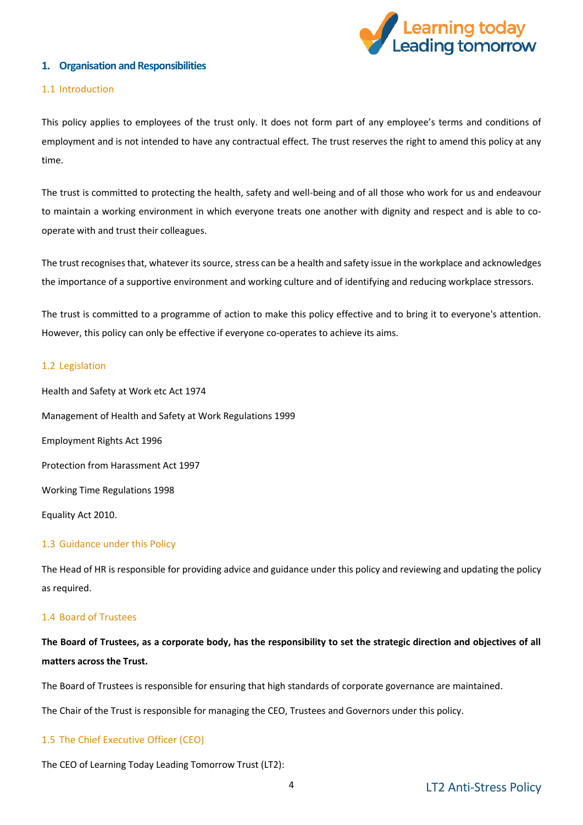

#### <span id="page-3-0"></span>**1. Organisation and Responsibilities**

#### 1.1 Introduction

This policy applies to employees of the trust only. It does not form part of any employee's terms and conditions of employment and is not intended to have any contractual effect. The trust reserves the right to amend this policy at any time.

The trust is committed to protecting the health, safety and well-being and of all those who work for us and endeavour to maintain a working environment in which everyone treats one another with dignity and respect and is able to cooperate with and trust their colleagues.

The trust recognises that, whatever its source, stress can be a health and safety issue in the workplace and acknowledges the importance of a supportive environment and working culture and of identifying and reducing workplace stressors.

The trust is committed to a programme of action to make this policy effective and to bring it to everyone's attention. However, this policy can only be effective if everyone co-operates to achieve its aims.

#### 1.2 Legislation

Health and Safety at Work etc Act 1974 Management of Health and Safety at Work Regulations 1999 Employment Rights Act 1996 Protection from Harassment Act 1997 Working Time Regulations 1998 Equality Act 2010.

#### 1.3 Guidance under this Policy

The Head of HR is responsible for providing advice and guidance under this policy and reviewing and updating the policy as required.

#### 1.4 Board of Trustees

**The Board of Trustees, as a corporate body, has the responsibility to set the strategic direction and objectives of all matters across the Trust.**

The Board of Trustees is responsible for ensuring that high standards of corporate governance are maintained.

The Chair of the Trust is responsible for managing the CEO, Trustees and Governors under this policy.

#### 1.5 The Chief Executive Officer (CEO)

The CEO of Learning Today Leading Tomorrow Trust (LT2):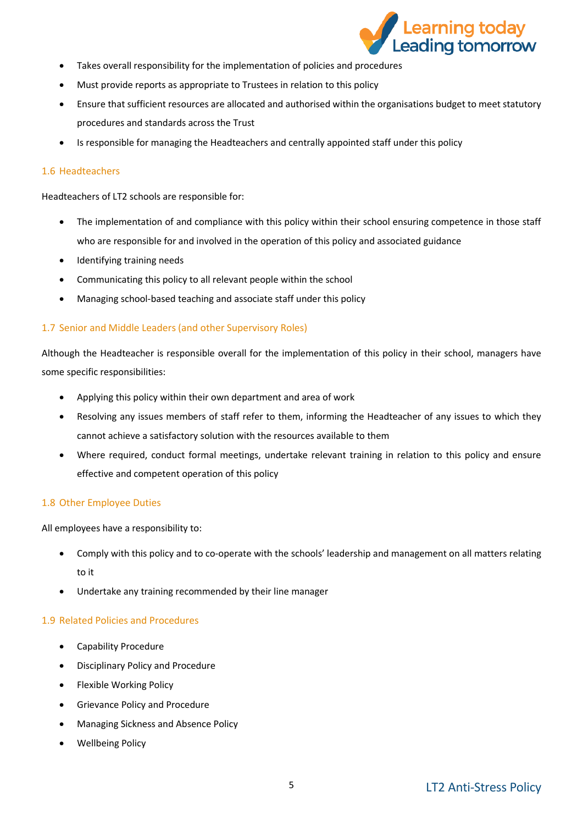

- Takes overall responsibility for the implementation of policies and procedures
- Must provide reports as appropriate to Trustees in relation to this policy
- Ensure that sufficient resources are allocated and authorised within the organisations budget to meet statutory procedures and standards across the Trust
- Is responsible for managing the Headteachers and centrally appointed staff under this policy

#### 1.6 Headteachers

Headteachers of LT2 schools are responsible for:

- The implementation of and compliance with this policy within their school ensuring competence in those staff who are responsible for and involved in the operation of this policy and associated guidance
- Identifying training needs
- Communicating this policy to all relevant people within the school
- Managing school-based teaching and associate staff under this policy

#### 1.7 Senior and Middle Leaders (and other Supervisory Roles)

Although the Headteacher is responsible overall for the implementation of this policy in their school, managers have some specific responsibilities:

- Applying this policy within their own department and area of work
- Resolving any issues members of staff refer to them, informing the Headteacher of any issues to which they cannot achieve a satisfactory solution with the resources available to them
- Where required, conduct formal meetings, undertake relevant training in relation to this policy and ensure effective and competent operation of this policy

#### 1.8 Other Employee Duties

All employees have a responsibility to:

- Comply with this policy and to co-operate with the schools' leadership and management on all matters relating to it
- Undertake any training recommended by their line manager

#### 1.9 Related Policies and Procedures

- Capability Procedure
- Disciplinary Policy and Procedure
- Flexible Working Policy
- Grievance Policy and Procedure
- Managing Sickness and Absence Policy
- Wellbeing Policy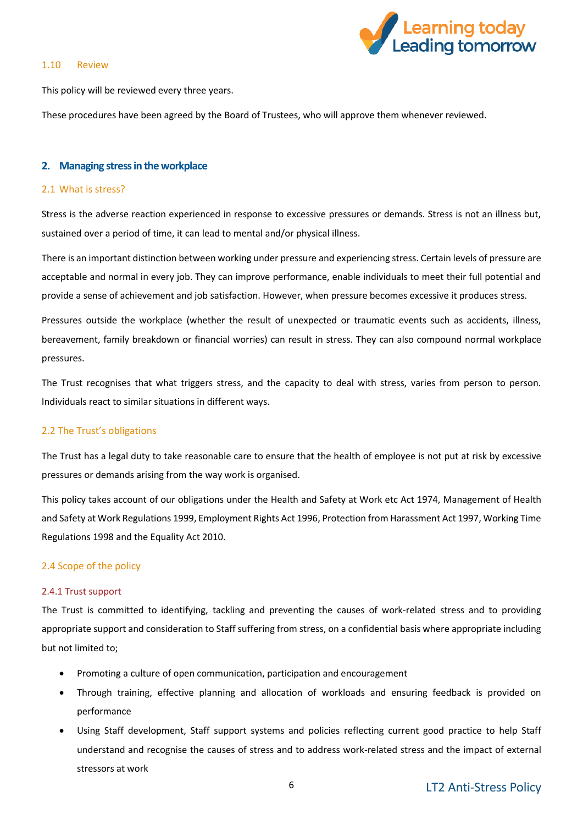#### 1.10 Review



This policy will be reviewed every three years.

These procedures have been agreed by the Board of Trustees, who will approve them whenever reviewed.

#### <span id="page-5-0"></span>**2. Managing stress in the workplace**

#### 2.1 What is stress?

Stress is the adverse reaction experienced in response to excessive pressures or demands. Stress is not an illness but, sustained over a period of time, it can lead to mental and/or physical illness.

There is an important distinction between working under pressure and experiencing stress. Certain levels of pressure are acceptable and normal in every job. They can improve performance, enable individuals to meet their full potential and provide a sense of achievement and job satisfaction. However, when pressure becomes excessive it produces stress.

Pressures outside the workplace (whether the result of unexpected or traumatic events such as accidents, illness, bereavement, family breakdown or financial worries) can result in stress. They can also compound normal workplace pressures.

The Trust recognises that what triggers stress, and the capacity to deal with stress, varies from person to person. Individuals react to similar situations in different ways.

#### 2.2 The Trust's obligations

The Trust has a legal duty to take reasonable care to ensure that the health of employee is not put at risk by excessive pressures or demands arising from the way work is organised.

This policy takes account of our obligations under the Health and Safety at Work etc Act 1974, Management of Health and Safety at Work Regulations 1999, Employment Rights Act 1996, Protection from Harassment Act 1997, Working Time Regulations 1998 and the Equality Act 2010.

#### 2.4 Scope of the policy

#### 2.4.1 Trust support

The Trust is committed to identifying, tackling and preventing the causes of work-related stress and to providing appropriate support and consideration to Staff suffering from stress, on a confidential basis where appropriate including but not limited to;

- Promoting a culture of open communication, participation and encouragement
- Through training, effective planning and allocation of workloads and ensuring feedback is provided on performance
- Using Staff development, Staff support systems and policies reflecting current good practice to help Staff understand and recognise the causes of stress and to address work-related stress and the impact of external stressors at work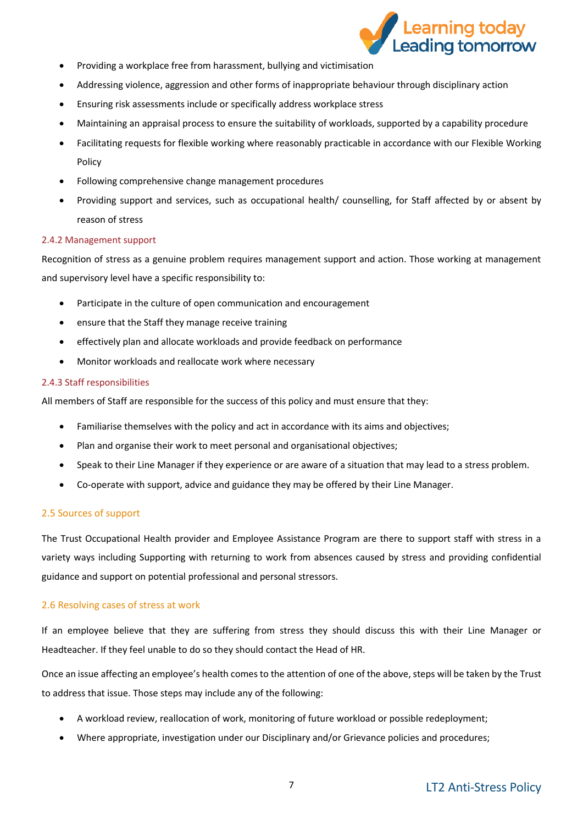

- Providing a workplace free from harassment, bullying and victimisation
- Addressing violence, aggression and other forms of inappropriate behaviour through disciplinary action
- Ensuring risk assessments include or specifically address workplace stress
- Maintaining an appraisal process to ensure the suitability of workloads, supported by a capability procedure
- Facilitating requests for flexible working where reasonably practicable in accordance with our Flexible Working Policy
- Following comprehensive change management procedures
- Providing support and services, such as occupational health/ counselling, for Staff affected by or absent by reason of stress

#### 2.4.2 Management support

Recognition of stress as a genuine problem requires management support and action. Those working at management and supervisory level have a specific responsibility to:

- Participate in the culture of open communication and encouragement
- ensure that the Staff they manage receive training
- effectively plan and allocate workloads and provide feedback on performance
- Monitor workloads and reallocate work where necessary

#### 2.4.3 Staff responsibilities

All members of Staff are responsible for the success of this policy and must ensure that they:

- Familiarise themselves with the policy and act in accordance with its aims and objectives;
- Plan and organise their work to meet personal and organisational objectives;
- Speak to their Line Manager if they experience or are aware of a situation that may lead to a stress problem.
- Co-operate with support, advice and guidance they may be offered by their Line Manager.

#### 2.5 Sources of support

The Trust Occupational Health provider and Employee Assistance Program are there to support staff with stress in a variety ways including Supporting with returning to work from absences caused by stress and providing confidential guidance and support on potential professional and personal stressors.

#### 2.6 Resolving cases of stress at work

If an employee believe that they are suffering from stress they should discuss this with their Line Manager or Headteacher. If they feel unable to do so they should contact the Head of HR.

Once an issue affecting an employee's health comes to the attention of one of the above, steps will be taken by the Trust to address that issue. Those steps may include any of the following:

- A workload review, reallocation of work, monitoring of future workload or possible redeployment;
- Where appropriate, investigation under our Disciplinary and/or Grievance policies and procedures;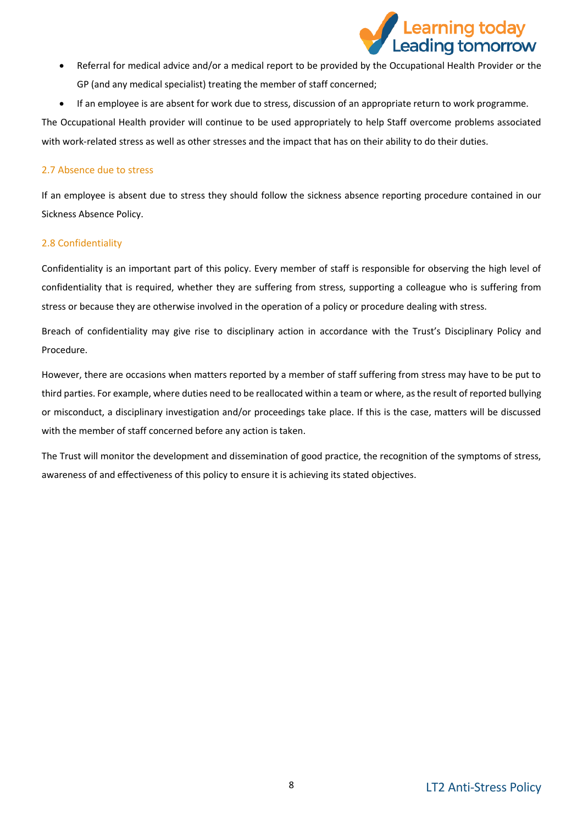

- Referral for medical advice and/or a medical report to be provided by the Occupational Health Provider or the GP (and any medical specialist) treating the member of staff concerned;
- If an employee is are absent for work due to stress, discussion of an appropriate return to work programme.

The Occupational Health provider will continue to be used appropriately to help Staff overcome problems associated with work-related stress as well as other stresses and the impact that has on their ability to do their duties.

#### 2.7 Absence due to stress

If an employee is absent due to stress they should follow the sickness absence reporting procedure contained in our Sickness Absence Policy.

### 2.8 Confidentiality

Confidentiality is an important part of this policy. Every member of staff is responsible for observing the high level of confidentiality that is required, whether they are suffering from stress, supporting a colleague who is suffering from stress or because they are otherwise involved in the operation of a policy or procedure dealing with stress.

Breach of confidentiality may give rise to disciplinary action in accordance with the Trust's Disciplinary Policy and Procedure.

However, there are occasions when matters reported by a member of staff suffering from stress may have to be put to third parties. For example, where duties need to be reallocated within a team or where, as the result of reported bullying or misconduct, a disciplinary investigation and/or proceedings take place. If this is the case, matters will be discussed with the member of staff concerned before any action is taken.

The Trust will monitor the development and dissemination of good practice, the recognition of the symptoms of stress, awareness of and effectiveness of this policy to ensure it is achieving its stated objectives.